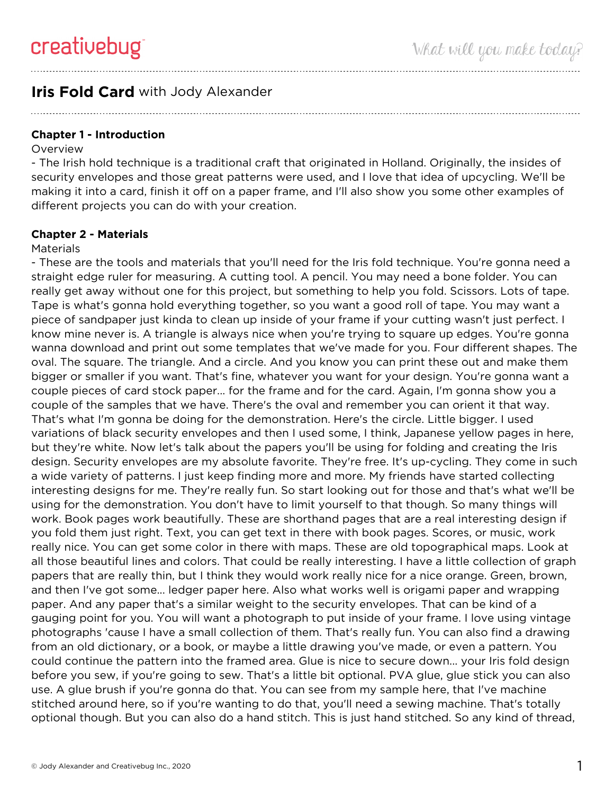# **Iris Fold Card** with Jody Alexander

**Chapter 1 - Introduction**

#### Overview

- The Irish hold technique is a traditional craft that originated in Holland. Originally, the insides of security envelopes and those great patterns were used, and I love that idea of upcycling. We'll be making it into a card, finish it off on a paper frame, and I'll also show you some other examples of different projects you can do with your creation.

## **Chapter 2 - Materials**

#### **Materials**

- These are the tools and materials that you'll need for the Iris fold technique. You're gonna need a straight edge ruler for measuring. A cutting tool. A pencil. You may need a bone folder. You can really get away without one for this project, but something to help you fold. Scissors. Lots of tape. Tape is what's gonna hold everything together, so you want a good roll of tape. You may want a piece of sandpaper just kinda to clean up inside of your frame if your cutting wasn't just perfect. I know mine never is. A triangle is always nice when you're trying to square up edges. You're gonna wanna download and print out some templates that we've made for you. Four different shapes. The oval. The square. The triangle. And a circle. And you know you can print these out and make them bigger or smaller if you want. That's fine, whatever you want for your design. You're gonna want a couple pieces of card stock paper... for the frame and for the card. Again, I'm gonna show you a couple of the samples that we have. There's the oval and remember you can orient it that way. That's what I'm gonna be doing for the demonstration. Here's the circle. Little bigger. I used variations of black security envelopes and then I used some, I think, Japanese yellow pages in here, but they're white. Now let's talk about the papers you'll be using for folding and creating the Iris design. Security envelopes are my absolute favorite. They're free. It's up-cycling. They come in such a wide variety of patterns. I just keep finding more and more. My friends have started collecting interesting designs for me. They're really fun. So start looking out for those and that's what we'll be using for the demonstration. You don't have to limit yourself to that though. So many things will work. Book pages work beautifully. These are shorthand pages that are a real interesting design if you fold them just right. Text, you can get text in there with book pages. Scores, or music, work really nice. You can get some color in there with maps. These are old topographical maps. Look at all those beautiful lines and colors. That could be really interesting. I have a little collection of graph papers that are really thin, but I think they would work really nice for a nice orange. Green, brown, and then I've got some... ledger paper here. Also what works well is origami paper and wrapping paper. And any paper that's a similar weight to the security envelopes. That can be kind of a gauging point for you. You will want a photograph to put inside of your frame. I love using vintage photographs 'cause I have a small collection of them. That's really fun. You can also find a drawing from an old dictionary, or a book, or maybe a little drawing you've made, or even a pattern. You could continue the pattern into the framed area. Glue is nice to secure down... your Iris fold design before you sew, if you're going to sew. That's a little bit optional. PVA glue, glue stick you can also use. A glue brush if you're gonna do that. You can see from my sample here, that I've machine stitched around here, so if you're wanting to do that, you'll need a sewing machine. That's totally optional though. But you can also do a hand stitch. This is just hand stitched. So any kind of thread,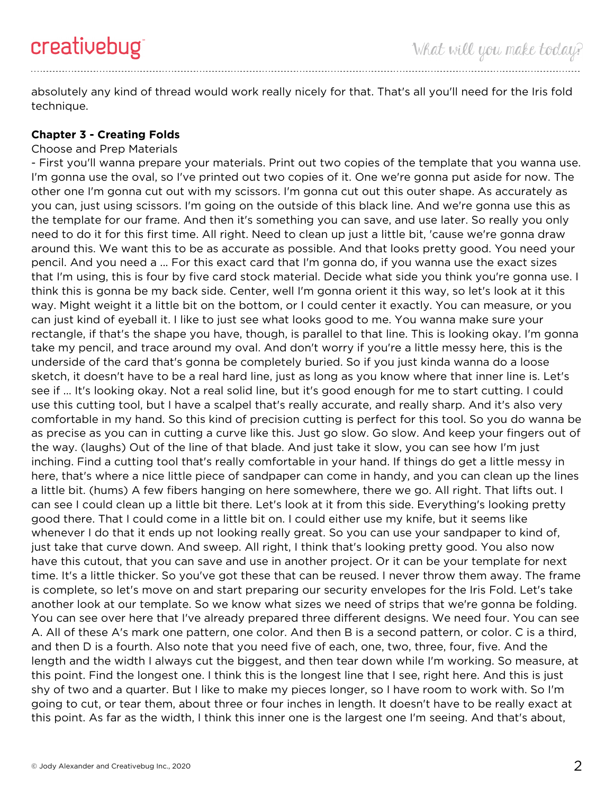absolutely any kind of thread would work really nicely for that. That's all you'll need for the Iris fold technique.

## **Chapter 3 - Creating Folds**

#### Choose and Prep Materials

- First you'll wanna prepare your materials. Print out two copies of the template that you wanna use. I'm gonna use the oval, so I've printed out two copies of it. One we're gonna put aside for now. The other one I'm gonna cut out with my scissors. I'm gonna cut out this outer shape. As accurately as you can, just using scissors. I'm going on the outside of this black line. And we're gonna use this as the template for our frame. And then it's something you can save, and use later. So really you only need to do it for this first time. All right. Need to clean up just a little bit, 'cause we're gonna draw around this. We want this to be as accurate as possible. And that looks pretty good. You need your pencil. And you need a ... For this exact card that I'm gonna do, if you wanna use the exact sizes that I'm using, this is four by five card stock material. Decide what side you think you're gonna use. I think this is gonna be my back side. Center, well I'm gonna orient it this way, so let's look at it this way. Might weight it a little bit on the bottom, or I could center it exactly. You can measure, or you can just kind of eyeball it. I like to just see what looks good to me. You wanna make sure your rectangle, if that's the shape you have, though, is parallel to that line. This is looking okay. I'm gonna take my pencil, and trace around my oval. And don't worry if you're a little messy here, this is the underside of the card that's gonna be completely buried. So if you just kinda wanna do a loose sketch, it doesn't have to be a real hard line, just as long as you know where that inner line is. Let's see if ... It's looking okay. Not a real solid line, but it's good enough for me to start cutting. I could use this cutting tool, but I have a scalpel that's really accurate, and really sharp. And it's also very comfortable in my hand. So this kind of precision cutting is perfect for this tool. So you do wanna be as precise as you can in cutting a curve like this. Just go slow. Go slow. And keep your fingers out of the way. (laughs) Out of the line of that blade. And just take it slow, you can see how I'm just inching. Find a cutting tool that's really comfortable in your hand. If things do get a little messy in here, that's where a nice little piece of sandpaper can come in handy, and you can clean up the lines a little bit. (hums) A few fibers hanging on here somewhere, there we go. All right. That lifts out. I can see I could clean up a little bit there. Let's look at it from this side. Everything's looking pretty good there. That I could come in a little bit on. I could either use my knife, but it seems like whenever I do that it ends up not looking really great. So you can use your sandpaper to kind of, just take that curve down. And sweep. All right, I think that's looking pretty good. You also now have this cutout, that you can save and use in another project. Or it can be your template for next time. It's a little thicker. So you've got these that can be reused. I never throw them away. The frame is complete, so let's move on and start preparing our security envelopes for the Iris Fold. Let's take another look at our template. So we know what sizes we need of strips that we're gonna be folding. You can see over here that I've already prepared three different designs. We need four. You can see A. All of these A's mark one pattern, one color. And then B is a second pattern, or color. C is a third, and then D is a fourth. Also note that you need five of each, one, two, three, four, five. And the length and the width I always cut the biggest, and then tear down while I'm working. So measure, at this point. Find the longest one. I think this is the longest line that I see, right here. And this is just shy of two and a quarter. But I like to make my pieces longer, so I have room to work with. So I'm going to cut, or tear them, about three or four inches in length. It doesn't have to be really exact at this point. As far as the width, I think this inner one is the largest one I'm seeing. And that's about,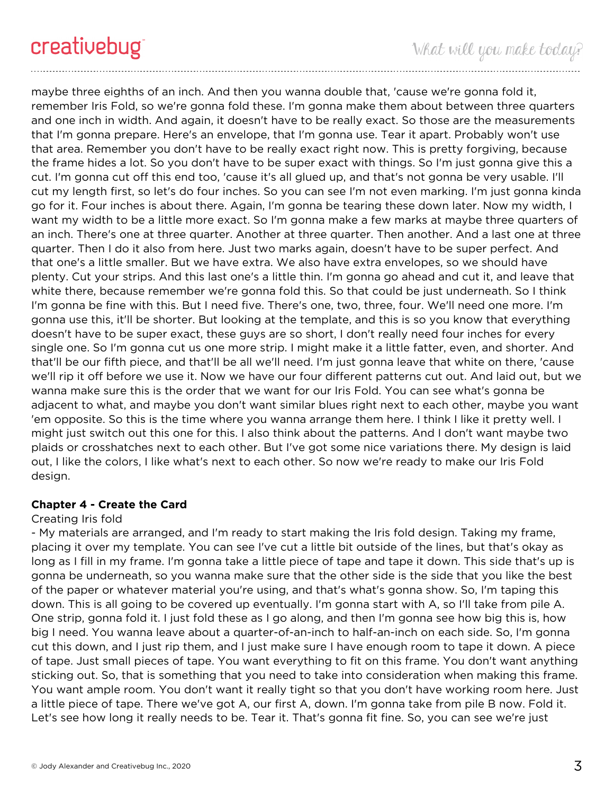maybe three eighths of an inch. And then you wanna double that, 'cause we're gonna fold it, remember Iris Fold, so we're gonna fold these. I'm gonna make them about between three quarters and one inch in width. And again, it doesn't have to be really exact. So those are the measurements that I'm gonna prepare. Here's an envelope, that I'm gonna use. Tear it apart. Probably won't use that area. Remember you don't have to be really exact right now. This is pretty forgiving, because the frame hides a lot. So you don't have to be super exact with things. So I'm just gonna give this a cut. I'm gonna cut off this end too, 'cause it's all glued up, and that's not gonna be very usable. I'll cut my length first, so let's do four inches. So you can see I'm not even marking. I'm just gonna kinda go for it. Four inches is about there. Again, I'm gonna be tearing these down later. Now my width, I want my width to be a little more exact. So I'm gonna make a few marks at maybe three quarters of an inch. There's one at three quarter. Another at three quarter. Then another. And a last one at three quarter. Then I do it also from here. Just two marks again, doesn't have to be super perfect. And that one's a little smaller. But we have extra. We also have extra envelopes, so we should have plenty. Cut your strips. And this last one's a little thin. I'm gonna go ahead and cut it, and leave that white there, because remember we're gonna fold this. So that could be just underneath. So I think I'm gonna be fine with this. But I need five. There's one, two, three, four. We'll need one more. I'm gonna use this, it'll be shorter. But looking at the template, and this is so you know that everything doesn't have to be super exact, these guys are so short, I don't really need four inches for every single one. So I'm gonna cut us one more strip. I might make it a little fatter, even, and shorter. And that'll be our fifth piece, and that'll be all we'll need. I'm just gonna leave that white on there, 'cause we'll rip it off before we use it. Now we have our four different patterns cut out. And laid out, but we wanna make sure this is the order that we want for our Iris Fold. You can see what's gonna be adjacent to what, and maybe you don't want similar blues right next to each other, maybe you want 'em opposite. So this is the time where you wanna arrange them here. I think I like it pretty well. I might just switch out this one for this. I also think about the patterns. And I don't want maybe two plaids or crosshatches next to each other. But I've got some nice variations there. My design is laid out, I like the colors, I like what's next to each other. So now we're ready to make our Iris Fold design.

# **Chapter 4 - Create the Card**

#### Creating Iris fold

- My materials are arranged, and I'm ready to start making the Iris fold design. Taking my frame, placing it over my template. You can see I've cut a little bit outside of the lines, but that's okay as long as I fill in my frame. I'm gonna take a little piece of tape and tape it down. This side that's up is gonna be underneath, so you wanna make sure that the other side is the side that you like the best of the paper or whatever material you're using, and that's what's gonna show. So, I'm taping this down. This is all going to be covered up eventually. I'm gonna start with A, so I'll take from pile A. One strip, gonna fold it. I just fold these as I go along, and then I'm gonna see how big this is, how big I need. You wanna leave about a quarter-of-an-inch to half-an-inch on each side. So, I'm gonna cut this down, and I just rip them, and I just make sure I have enough room to tape it down. A piece of tape. Just small pieces of tape. You want everything to fit on this frame. You don't want anything sticking out. So, that is something that you need to take into consideration when making this frame. You want ample room. You don't want it really tight so that you don't have working room here. Just a little piece of tape. There we've got A, our first A, down. I'm gonna take from pile B now. Fold it. Let's see how long it really needs to be. Tear it. That's gonna fit fine. So, you can see we're just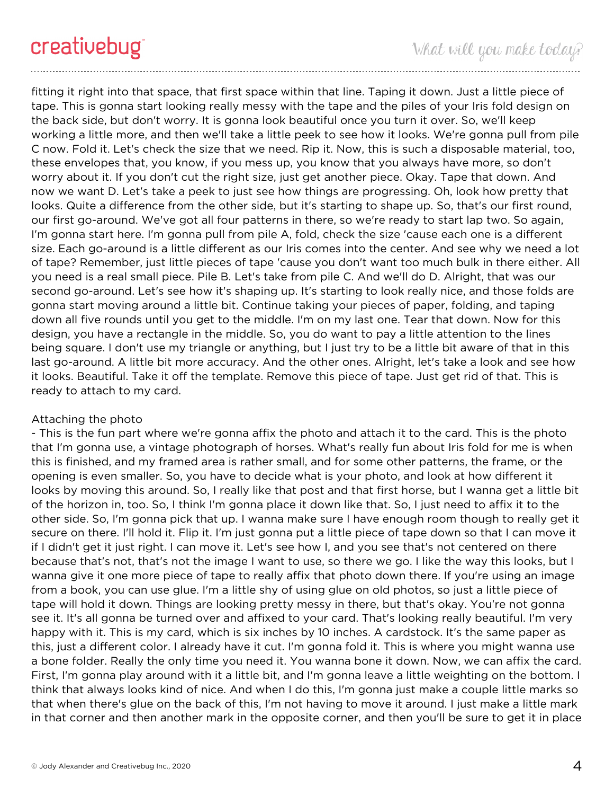fitting it right into that space, that first space within that line. Taping it down. Just a little piece of tape. This is gonna start looking really messy with the tape and the piles of your Iris fold design on the back side, but don't worry. It is gonna look beautiful once you turn it over. So, we'll keep working a little more, and then we'll take a little peek to see how it looks. We're gonna pull from pile C now. Fold it. Let's check the size that we need. Rip it. Now, this is such a disposable material, too, these envelopes that, you know, if you mess up, you know that you always have more, so don't worry about it. If you don't cut the right size, just get another piece. Okay. Tape that down. And now we want D. Let's take a peek to just see how things are progressing. Oh, look how pretty that looks. Quite a difference from the other side, but it's starting to shape up. So, that's our first round, our first go-around. We've got all four patterns in there, so we're ready to start lap two. So again, I'm gonna start here. I'm gonna pull from pile A, fold, check the size 'cause each one is a different size. Each go-around is a little different as our Iris comes into the center. And see why we need a lot of tape? Remember, just little pieces of tape 'cause you don't want too much bulk in there either. All you need is a real small piece. Pile B. Let's take from pile C. And we'll do D. Alright, that was our second go-around. Let's see how it's shaping up. It's starting to look really nice, and those folds are gonna start moving around a little bit. Continue taking your pieces of paper, folding, and taping down all five rounds until you get to the middle. I'm on my last one. Tear that down. Now for this design, you have a rectangle in the middle. So, you do want to pay a little attention to the lines being square. I don't use my triangle or anything, but I just try to be a little bit aware of that in this last go-around. A little bit more accuracy. And the other ones. Alright, let's take a look and see how it looks. Beautiful. Take it off the template. Remove this piece of tape. Just get rid of that. This is ready to attach to my card.

# Attaching the photo

- This is the fun part where we're gonna affix the photo and attach it to the card. This is the photo that I'm gonna use, a vintage photograph of horses. What's really fun about Iris fold for me is when this is finished, and my framed area is rather small, and for some other patterns, the frame, or the opening is even smaller. So, you have to decide what is your photo, and look at how different it looks by moving this around. So, I really like that post and that first horse, but I wanna get a little bit of the horizon in, too. So, I think I'm gonna place it down like that. So, I just need to affix it to the other side. So, I'm gonna pick that up. I wanna make sure I have enough room though to really get it secure on there. I'll hold it. Flip it. I'm just gonna put a little piece of tape down so that I can move it if I didn't get it just right. I can move it. Let's see how I, and you see that's not centered on there because that's not, that's not the image I want to use, so there we go. I like the way this looks, but I wanna give it one more piece of tape to really affix that photo down there. If you're using an image from a book, you can use glue. I'm a little shy of using glue on old photos, so just a little piece of tape will hold it down. Things are looking pretty messy in there, but that's okay. You're not gonna see it. It's all gonna be turned over and affixed to your card. That's looking really beautiful. I'm very happy with it. This is my card, which is six inches by 10 inches. A cardstock. It's the same paper as this, just a different color. I already have it cut. I'm gonna fold it. This is where you might wanna use a bone folder. Really the only time you need it. You wanna bone it down. Now, we can affix the card. First, I'm gonna play around with it a little bit, and I'm gonna leave a little weighting on the bottom. I think that always looks kind of nice. And when I do this, I'm gonna just make a couple little marks so that when there's glue on the back of this, I'm not having to move it around. I just make a little mark in that corner and then another mark in the opposite corner, and then you'll be sure to get it in place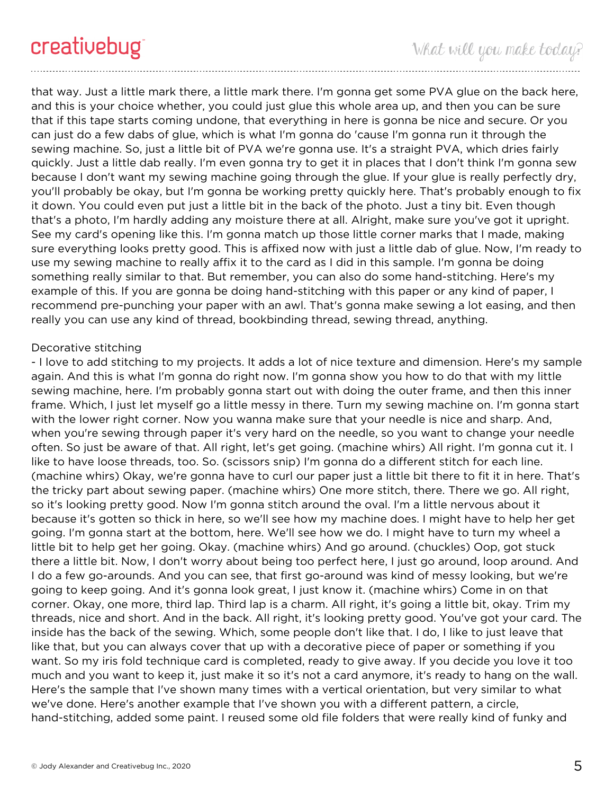that way. Just a little mark there, a little mark there. I'm gonna get some PVA glue on the back here, and this is your choice whether, you could just glue this whole area up, and then you can be sure that if this tape starts coming undone, that everything in here is gonna be nice and secure. Or you can just do a few dabs of glue, which is what I'm gonna do 'cause I'm gonna run it through the sewing machine. So, just a little bit of PVA we're gonna use. It's a straight PVA, which dries fairly quickly. Just a little dab really. I'm even gonna try to get it in places that I don't think I'm gonna sew because I don't want my sewing machine going through the glue. If your glue is really perfectly dry, you'll probably be okay, but I'm gonna be working pretty quickly here. That's probably enough to fix it down. You could even put just a little bit in the back of the photo. Just a tiny bit. Even though that's a photo, I'm hardly adding any moisture there at all. Alright, make sure you've got it upright. See my card's opening like this. I'm gonna match up those little corner marks that I made, making sure everything looks pretty good. This is affixed now with just a little dab of glue. Now, I'm ready to use my sewing machine to really affix it to the card as I did in this sample. I'm gonna be doing something really similar to that. But remember, you can also do some hand-stitching. Here's my example of this. If you are gonna be doing hand-stitching with this paper or any kind of paper, I recommend pre-punching your paper with an awl. That's gonna make sewing a lot easing, and then really you can use any kind of thread, bookbinding thread, sewing thread, anything.

## Decorative stitching

- I love to add stitching to my projects. It adds a lot of nice texture and dimension. Here's my sample again. And this is what I'm gonna do right now. I'm gonna show you how to do that with my little sewing machine, here. I'm probably gonna start out with doing the outer frame, and then this inner frame. Which, I just let myself go a little messy in there. Turn my sewing machine on. I'm gonna start with the lower right corner. Now you wanna make sure that your needle is nice and sharp. And, when you're sewing through paper it's very hard on the needle, so you want to change your needle often. So just be aware of that. All right, let's get going. (machine whirs) All right. I'm gonna cut it. I like to have loose threads, too. So. (scissors snip) I'm gonna do a different stitch for each line. (machine whirs) Okay, we're gonna have to curl our paper just a little bit there to fit it in here. That's the tricky part about sewing paper. (machine whirs) One more stitch, there. There we go. All right, so it's looking pretty good. Now I'm gonna stitch around the oval. I'm a little nervous about it because it's gotten so thick in here, so we'll see how my machine does. I might have to help her get going. I'm gonna start at the bottom, here. We'll see how we do. I might have to turn my wheel a little bit to help get her going. Okay. (machine whirs) And go around. (chuckles) Oop, got stuck there a little bit. Now, I don't worry about being too perfect here, I just go around, loop around. And I do a few go-arounds. And you can see, that first go-around was kind of messy looking, but we're going to keep going. And it's gonna look great, I just know it. (machine whirs) Come in on that corner. Okay, one more, third lap. Third lap is a charm. All right, it's going a little bit, okay. Trim my threads, nice and short. And in the back. All right, it's looking pretty good. You've got your card. The inside has the back of the sewing. Which, some people don't like that. I do, I like to just leave that like that, but you can always cover that up with a decorative piece of paper or something if you want. So my iris fold technique card is completed, ready to give away. If you decide you love it too much and you want to keep it, just make it so it's not a card anymore, it's ready to hang on the wall. Here's the sample that I've shown many times with a vertical orientation, but very similar to what we've done. Here's another example that I've shown you with a different pattern, a circle, hand-stitching, added some paint. I reused some old file folders that were really kind of funky and